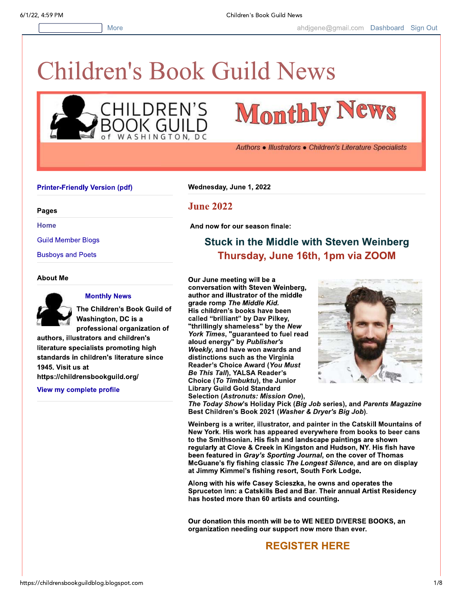

# **Monthly News**

Authors • Illustrators • Children's Literature Specialists

#### **Printer-Friendly Version (pdf)**

Pages

**Home** 

**Guild Member Blogs** 

**Busboys and Poets** 

#### **About Me**



#### **Monthly News**

The Children's Book Guild of Washington, DC is a professional organization of

authors, illustrators and children's literature specialists promoting high standards in children's literature since 1945. Visit us at https://childrensbookguild.org/

View my complete profile

Wednesday, June 1, 2022

### **June 2022**

And now for our season finale:

## **Stuck in the Middle with Steven Weinberg** Thursday, June 16th, 1pm via ZOOM

Our June meeting will be a conversation with Steven Weinberg, author and illustrator of the middle grade romp The Middle Kid. His children's books have been called "brilliant" by Dav Pilkey, "thrillingly shameless" by the New York Times, "guaranteed to fuel read<br>aloud energy" by Publisher's Weekly, and have won awards and distinctions such as the Virginia Reader's Choice Award (You Must Be This Tall), YALSA Reader's Choice (To Timbuktu), the Junior **Library Guild Gold Standard** Selection (Astronuts: Mission One),



The Today Show's Holiday Pick (Big Job series), and Parents Magazine Best Children's Book 2021 (Washer & Dryer's Big Job).

Weinberg is a writer, illustrator, and painter in the Catskill Mountains of New York. His work has appeared everywhere from books to beer cans to the Smithsonian. His fish and landscape paintings are shown regularly at Clove & Creek in Kingston and Hudson, NY. His fish have been featured in Gray's Sporting Journal, on the cover of Thomas McGuane's fly fishing classic The Longest Silence, and are on display at Jimmy Kimmel's fishing resort, South Fork Lodge.

Along with his wife Casey Scieszka, he owns and operates the Spruceton Inn: a Catskills Bed and Bar. Their annual Artist Residency has hosted more than 60 artists and counting.

Our donation this month will be to WE NEED DIVERSE BOOKS, an organization needing our support now more than ever.

## **REGISTER HERE**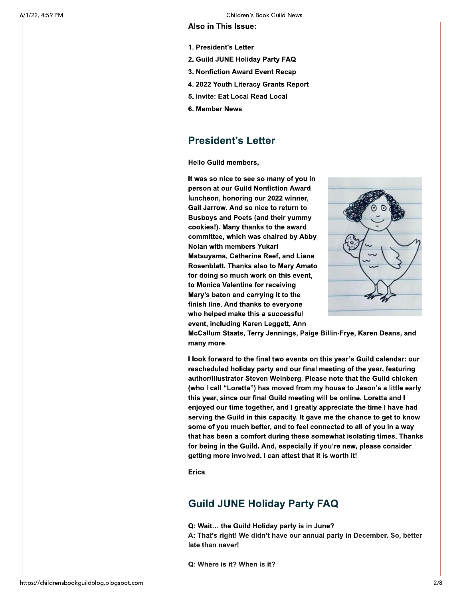#### Also in This Issue:

- 1. President's Letter
- 2. Guild JUNE Holiday Party FAQ
- 3. Nonfiction Award Event Recap
- 4. 2022 Youth Literacy Grants Report
- 5. Invite: Eat Local Read Local
- 6. Member News

## **President's Letter**

**Hello Guild members,** 

It was so nice to see so many of you in person at our Guild Nonfiction Award luncheon, honoring our 2022 winner, Gail Jarrow. And so nice to return to **Busboys and Poets (and their yummy** cookies!). Many thanks to the award committee, which was chaired by Abby Nolan with members Yukari Matsuyama, Catherine Reef, and Liane Rosenblatt. Thanks also to Mary Amato for doing so much work on this event, to Monica Valentine for receiving Mary's baton and carrying it to the finish line. And thanks to everyone who helped make this a successful event, including Karen Leggett, Ann



McCallum Staats, Terry Jennings, Paige Billin-Frye, Karen Deans, and many more.

I look forward to the final two events on this year's Guild calendar: our rescheduled holiday party and our final meeting of the year, featuring author/illustrator Steven Weinberg. Please note that the Guild chicken (who I call "Loretta") has moved from my house to Jason's a little early this year, since our final Guild meeting will be online. Loretta and I enjoyed our time together, and I greatly appreciate the time I have had serving the Guild in this capacity. It gave me the chance to get to know some of you much better, and to feel connected to all of you in a way that has been a comfort during these somewhat isolating times. Thanks for being in the Guild. And, especially if you're new, please consider getting more involved. I can attest that it is worth it!

**Erica** 

## **Guild JUNE Holiday Party FAQ**

Q: Wait... the Guild Holiday party is in June?

A: That's right! We didn't have our annual party in December. So, better late than never!

Q: Where is it? When is it?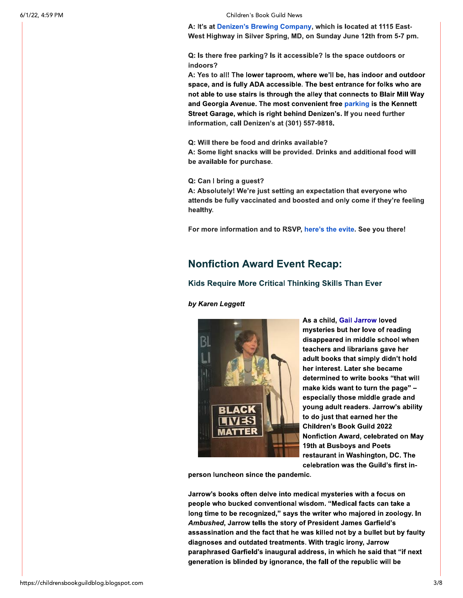A: It's at Denizen's Brewing Company, which is located at 1115 East-West Highway in Silver Spring, MD, on Sunday June 12th from 5-7 pm.

Q: Is there free parking? Is it accessible? Is the space outdoors or indoors?

A: Yes to all! The lower taproom, where we'll be, has indoor and outdoor space, and is fully ADA accessible. The best entrance for folks who are not able to use stairs is through the alley that connects to Blair Mill Way and Georgia Avenue. The most convenient free parking is the Kennett Street Garage, which is right behind Denizen's, If you need further information, call Denizen's at (301) 557-9818.

Q: Will there be food and drinks available?

A: Some light snacks will be provided. Drinks and additional food will be available for purchase.

Q: Can I bring a guest?

A: Absolutely! We're just setting an expectation that everyone who attends be fully vaccinated and boosted and only come if they're feeling healthy.

For more information and to RSVP, here's the evite. See you there!

## **Nonfiction Award Event Recap:**

#### Kids Require More Critical Thinking Skills Than Ever

by Karen Leggett



As a child, Gail Jarrow loved mysteries but her love of reading disappeared in middle school when teachers and librarians gave her adult books that simply didn't hold her interest. Later she became determined to write books "that will make kids want to turn the page" especially those middle grade and young adult readers. Jarrow's ability to do just that earned her the **Children's Book Guild 2022** Nonfiction Award, celebrated on May 19th at Busboys and Poets restaurant in Washington, DC. The celebration was the Guild's first in-

person luncheon since the pandemic.

Jarrow's books often delve into medical mysteries with a focus on people who bucked conventional wisdom. "Medical facts can take a long time to be recognized," says the writer who majored in zoology. In Ambushed, Jarrow tells the story of President James Garfield's assassination and the fact that he was killed not by a bullet but by faulty diagnoses and outdated treatments. With tragic irony, Jarrow paraphrased Garfield's inaugural address, in which he said that "if next generation is blinded by ignorance, the fall of the republic will be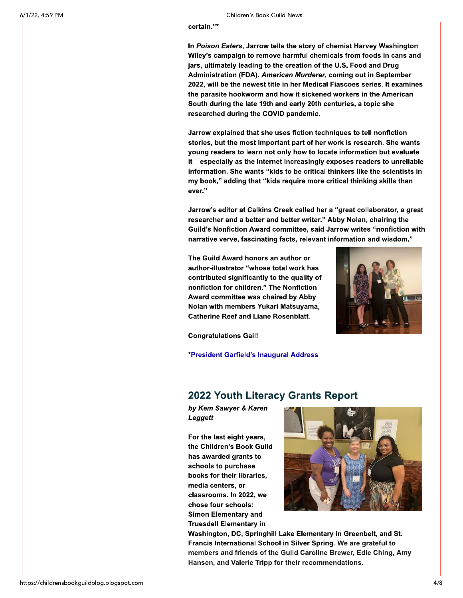#### certain."\*

In Poison Eaters, Jarrow tells the story of chemist Harvey Washington Wiley's campaign to remove harmful chemicals from foods in cans and jars, ultimately leading to the creation of the U.S. Food and Drug Administration (FDA). American Murderer, coming out in September 2022, will be the newest title in her Medical Fiascoes series. It examines the parasite hookworm and how it sickened workers in the American South during the late 19th and early 20th centuries, a topic she researched during the COVID pandemic.

Jarrow explained that she uses fiction techniques to tell nonfiction stories, but the most important part of her work is research. She wants young readers to learn not only how to locate information but evaluate it - especially as the Internet increasingly exposes readers to unreliable information. She wants "kids to be critical thinkers like the scientists in my book," adding that "kids require more critical thinking skills than ever."

Jarrow's editor at Calkins Creek called her a "great collaborator, a great researcher and a better and better writer." Abby Nolan, chairing the Guild's Nonfiction Award committee, said Jarrow writes "nonfiction with narrative verve, fascinating facts, relevant information and wisdom."

The Guild Award honors an author or author-illustrator "whose total work has contributed significantly to the quality of nonfiction for children." The Nonfiction Award committee was chaired by Abby Nolan with members Yukari Matsuyama, **Catherine Reef and Liane Rosenblatt.** 



**Congratulations Gail!** 

\*President Garfield's Inaugural Address

### **2022 Youth Literacy Grants Report**

by Kem Sawyer & Karen Leggett

For the last eight years, the Children's Book Guild has awarded grants to schools to purchase books for their libraries, media centers, or classrooms. In 2022, we chose four schools: **Simon Elementary and Truesdell Elementary in** 



Washington, DC, Springhill Lake Elementary in Greenbelt, and St. Francis International School in Silver Spring. We are grateful to members and friends of the Guild Caroline Brewer, Edie Ching, Amy Hansen, and Valerie Tripp for their recommendations.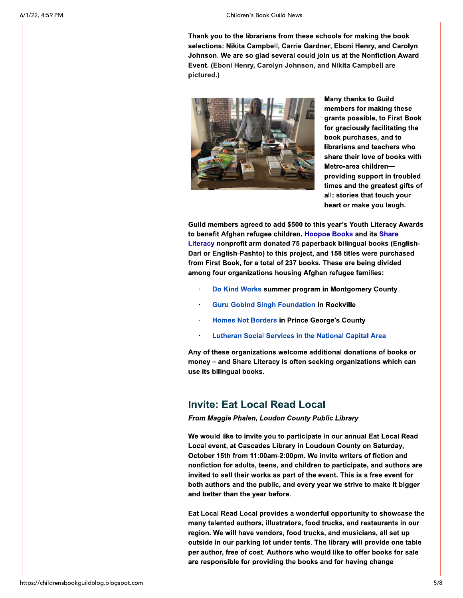Thank you to the librarians from these schools for making the book selections: Nikita Campbell, Carrie Gardner, Eboni Henry, and Carolyn Johnson. We are so glad several could join us at the Nonfiction Award Event. (Eboni Henry, Carolyn Johnson, and Nikita Campbell are pictured.)



**Many thanks to Guild** members for making these grants possible, to First Book for graciously facilitating the book purchases, and to librarians and teachers who share their love of books with Metro-area childrenproviding support in troubled times and the greatest gifts of all: stories that touch your heart or make you laugh.

Guild members agreed to add \$500 to this year's Youth Literacy Awards to benefit Afghan refugee children. Hoopoe Books and its Share Literacy nonprofit arm donated 75 paperback bilingual books (English-Dari or English-Pashto) to this project, and 158 titles were purchased from First Book, for a total of 237 books. These are being divided among four organizations housing Afghan refugee families:

- Do Kind Works summer program in Montgomery County
- **Guru Gobind Singh Foundation in Rockville**  $\bullet$
- **Homes Not Borders in Prince George's County**
- **Lutheran Social Services in the National Capital Area**

Any of these organizations welcome additional donations of books or money - and Share Literacy is often seeking organizations which can use its bilingual books.

## **Invite: Eat Local Read Local**

From Maggie Phalen, Loudon County Public Library

We would like to invite you to participate in our annual Eat Local Read Local event, at Cascades Library in Loudoun County on Saturday, October 15th from 11:00am-2:00pm. We invite writers of fiction and nonfiction for adults, teens, and children to participate, and authors are invited to sell their works as part of the event. This is a free event for both authors and the public, and every year we strive to make it bigger and better than the year before.

Eat Local Read Local provides a wonderful opportunity to showcase the many talented authors, illustrators, food trucks, and restaurants in our region. We will have vendors, food trucks, and musicians, all set up outside in our parking lot under tents. The library will provide one table per author, free of cost. Authors who would like to offer books for sale are responsible for providing the books and for having change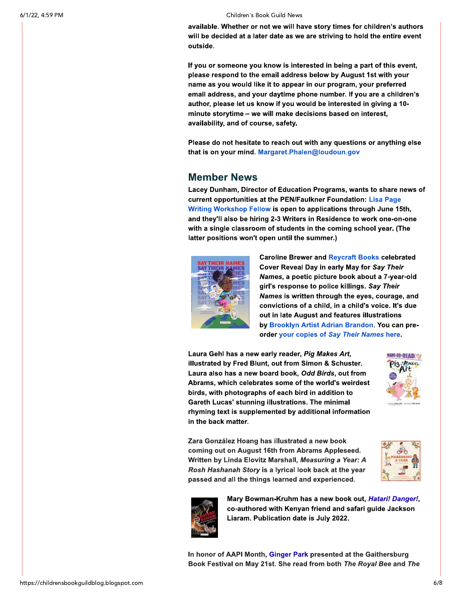available. Whether or not we will have story times for children's authors will be decided at a later date as we are striving to hold the entire event outside.

If you or someone you know is interested in being a part of this event, please respond to the email address below by August 1st with your name as you would like it to appear in our program, your preferred email address, and your daytime phone number. If you are a children's author, please let us know if you would be interested in giving a 10minute storytime - we will make decisions based on interest. availability, and of course, safety.

Please do not hesitate to reach out with any questions or anything else that is on your mind. Margaret.Phalen@loudoun.gov

## **Member News**

Lacey Dunham, Director of Education Programs, wants to share news of current opportunities at the PEN/Faulkner Foundation: Lisa Page Writing Workshop Fellow is open to applications through June 15th, and they'll also be hiring 2-3 Writers in Residence to work one-on-one with a single classroom of students in the coming school year. (The latter positions won't open until the summer.)



**Caroline Brewer and Reycraft Books celebrated** Cover Reveal Day in early May for Say Their Names, a poetic picture book about a 7-year-old girl's response to police killings. Say Their Names is written through the eyes, courage, and convictions of a child, in a child's voice. It's due out in late August and features illustrations by Brooklyn Artist Adrian Brandon. You can preorder your copies of Say Their Names here.

Laura Gehl has a new early reader, Pig Makes Art, illustrated by Fred Blunt, out from Simon & Schuster. Laura also has a new board book, Odd Birds, out from Abrams, which celebrates some of the world's weirdest birds, with photographs of each bird in addition to Gareth Lucas' stunning illustrations. The minimal rhyming text is supplemented by additional information in the back matter.



Zara González Hoang has illustrated a new book coming out on August 16th from Abrams Appleseed. Written by Linda Elovitz Marshall, Measuring a Year: A Rosh Hashanah Story is a lyrical look back at the year passed and all the things learned and experienced.





Mary Bowman-Kruhm has a new book out, Hatari! Danger!, co-authored with Kenyan friend and safari guide Jackson Liaram. Publication date is July 2022.

In honor of AAPI Month, Ginger Park presented at the Gaithersburg Book Festival on May 21st. She read from both The Royal Bee and The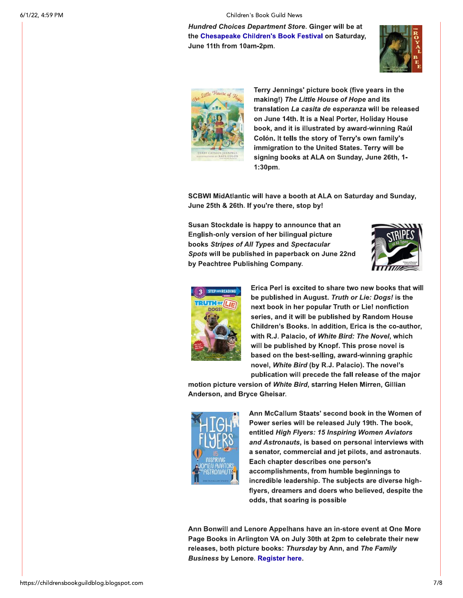Hundred Choices Department Store. Ginger will be at the Chesapeake Children's Book Festival on Saturday, June 11th from 10am-2pm.





Terry Jennings' picture book (five years in the making!) The Little House of Hope and its translation La casita de esperanza will be released on June 14th. It is a Neal Porter, Holiday House book, and it is illustrated by award-winning Raúl Colón. It tells the story of Terry's own family's immigration to the United States. Terry will be signing books at ALA on Sunday, June 26th, 1- $1:30<sub>pm</sub>$ .

SCBWI MidAtlantic will have a booth at ALA on Saturday and Sunday, June 25th & 26th. If you're there, stop by!

Susan Stockdale is happy to announce that an English-only version of her bilingual picture books Stripes of All Types and Spectacular Spots will be published in paperback on June 22nd by Peachtree Publishing Company.





Erica Perl is excited to share two new books that will be published in August. Truth or Lie: Dogs! is the next book in her popular Truth or Lie! nonfiction series, and it will be published by Random House Children's Books. In addition, Erica is the co-author, with R.J. Palacio, of White Bird: The Novel, which will be published by Knopf. This prose novel is based on the best-selling, award-winning graphic novel, White Bird (by R.J. Palacio). The novel's publication will precede the fall release of the major

motion picture version of White Bird, starring Helen Mirren, Gillian Anderson, and Bryce Gheisar.



Ann McCallum Staats' second book in the Women of Power series will be released July 19th. The book, entitled High Flyers: 15 Inspiring Women Aviators and Astronauts, is based on personal interviews with a senator, commercial and jet pilots, and astronauts. Each chapter describes one person's accomplishments, from humble beginnings to incredible leadership. The subjects are diverse highflyers, dreamers and doers who believed, despite the odds, that soaring is possible

Ann Bonwill and Lenore Appelhans have an in-store event at One More Page Books in Arlington VA on July 30th at 2pm to celebrate their new releases, both picture books: Thursday by Ann, and The Family **Business by Lenore. Register here.**